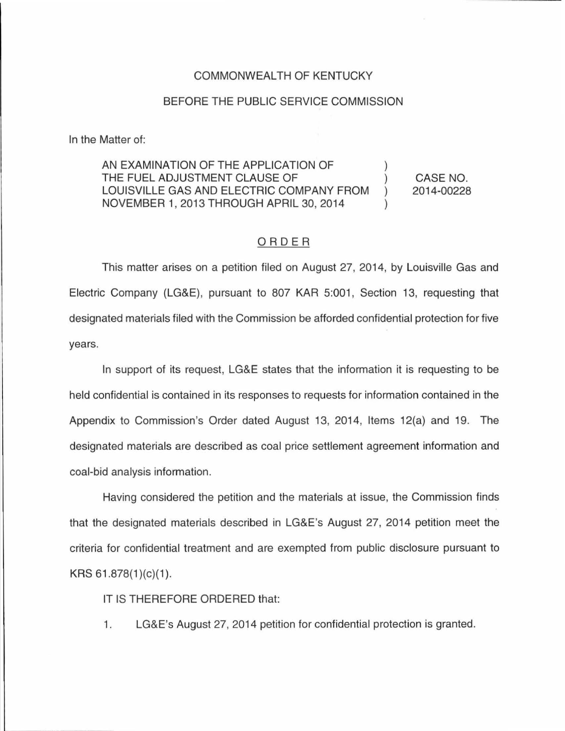## COMMONWEALTH OF KENTUCKY

## BEFORE THE PUBLIC SERVICE COMMISSION

In the Matter of:

AN EXAMINATION OF THE APPLICATION OF THE FUEL ADJUSTMENT CLAUSE OF  $\mathcal{E}$ LOUISVILLE GAS AND ELECTRIC COMPANY FROM  $\lambda$ NOVEMBER 1, 2013 THROUGH APRIL 30, 2014

CASE NO. 2014-00228

## ORDER

This matter arises on a petition filed on August 27, 2014, by Louisville Gas and Electric Company (LG&E), pursuant to 807 KAR 5:001, Section 13, requesting that designated materials filed with the Commission be afforded confidential protection for five years.

In support of its request, LG&E states that the information it is requesting to be held confidential is contained in its responses to requests for information contained in the Appendix to Commission's Order dated August 13, 2014, Items 12(a) and 19. The designated materials are described as coal price settlement agreement information and coal-bid analysis information.

Having considered the petition and the materials at issue, the Commission finds that the designated materials described in LG&E's August 27, 2014 petition meet the criteria for confidential treatment and are exempted from public disclosure pursuant to KRS  $61.878(1)(c)(1)$ .

IT IS THEREFORE ORDERED that:

1. LG&E's August 27, 2014 petition for confidential protection is granted.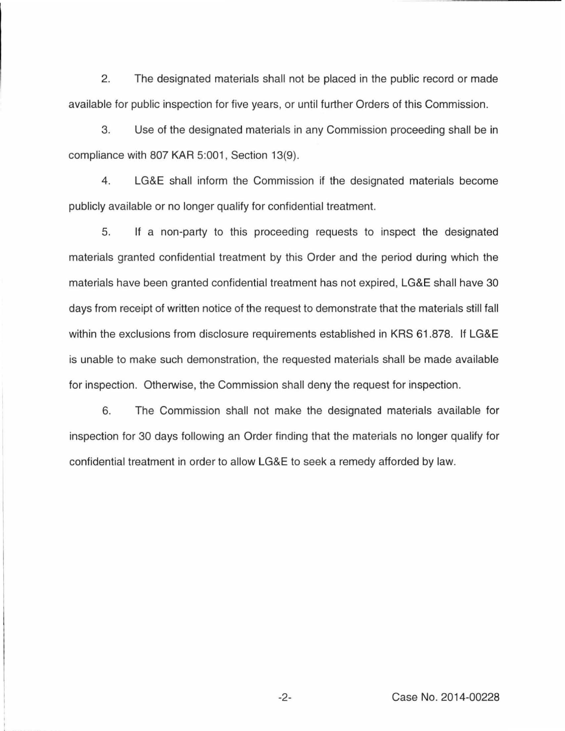2. The designated materials shall not be placed in the public record or made available for public inspection for five years, or until further Orders of this Commission.

3. Use of the designated materials in any Commission proceeding shall be in compliance with 807 KAR 5:001, Section 13(9).

4. LG&E shall inform the Commission if the designated materials become publicly available or no longer qualify for confidential treatment.

5. If a non-party to this proceeding requests to inspect the designated materials granted confidential treatment by this Order and the period during which the materials have been granted confidential treatment has not expired, LG&E shall have 30 days from receipt of written notice of the request to demonstrate that the materials still fall within the exclusions from disclosure requirements established in KRS 61.878. If LG&E is unable to make such demonstration, the requested materials shall be made available for inspection. Otherwise, the Commission shall deny the request for inspection.

6. The Commission shall not make the designated materials available for inspection for 30 days following an Order finding that the materials no longer qualify for confidential treatment in order to allow LG&E to seek a remedy afforded by law.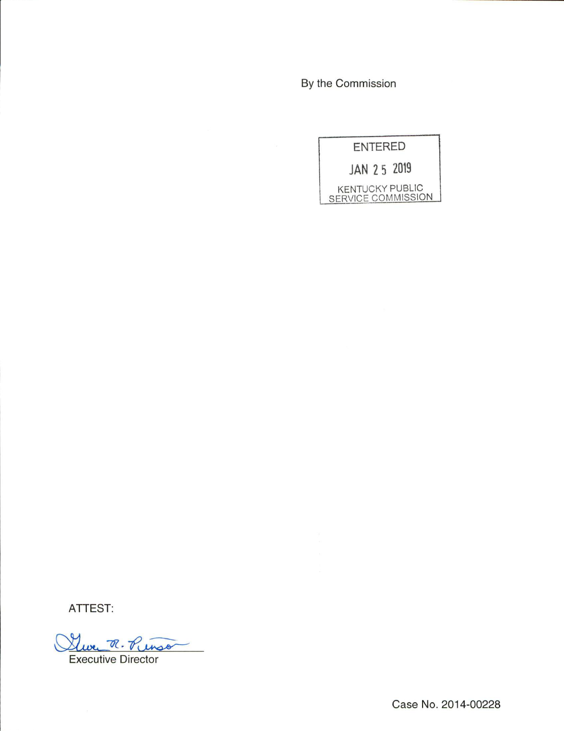By the Commission



ATTEST:

Luce R. Pinso Executive Director

Case No. 2014-00228